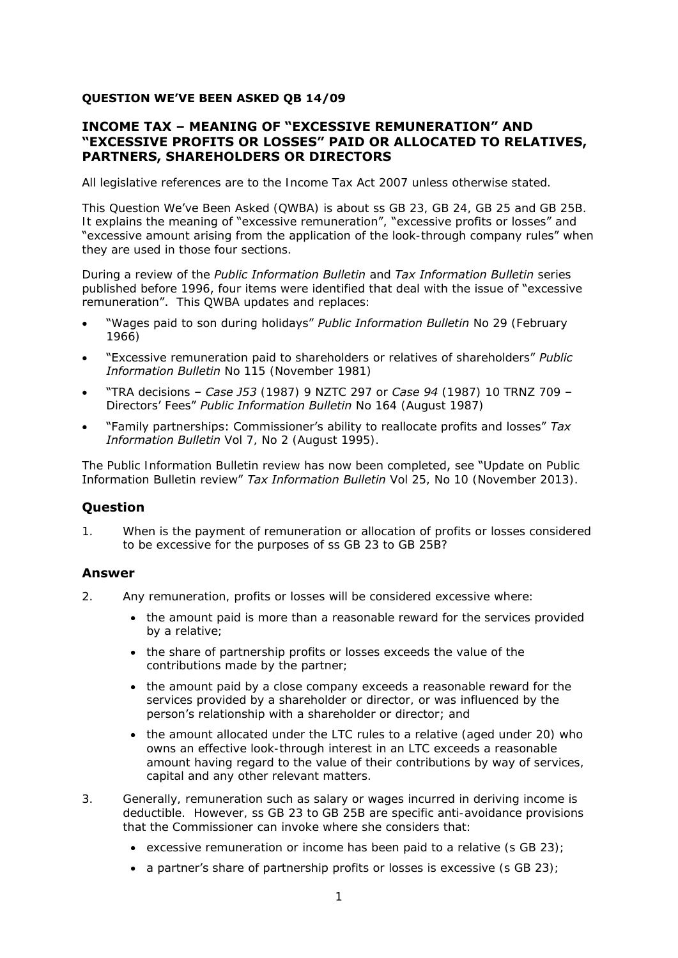# **QUESTION WE'VE BEEN ASKED QB 14/09**

# **INCOME TAX – MEANING OF "EXCESSIVE REMUNERATION" AND "EXCESSIVE PROFITS OR LOSSES" PAID OR ALLOCATED TO RELATIVES, PARTNERS, SHAREHOLDERS OR DIRECTORS**

All legislative references are to the Income Tax Act 2007 unless otherwise stated.

This Question We've Been Asked (QWBA) is about ss GB 23, GB 24, GB 25 and GB 25B. It explains the meaning of "excessive remuneration", "excessive profits or losses" and "excessive amount arising from the application of the look-through company rules" when they are used in those four sections.

During a review of the *Public Information Bulletin* and *Tax Information Bulletin* series published before 1996, four items were identified that deal with the issue of "excessive remuneration". This QWBA updates and replaces:

- "Wages paid to son during holidays" *Public Information Bulletin* No 29 (February 1966)
- "Excessive remuneration paid to shareholders or relatives of shareholders" *Public Information Bulletin* No 115 (November 1981)
- "TRA decisions *Case J53* (1987) 9 NZTC 297 or *Case 94* (1987) 10 TRNZ 709 Directors' Fees" *Public Information Bulletin* No 164 (August 1987)
- "Family partnerships: Commissioner's ability to reallocate profits and losses" *Tax Information Bulletin* Vol 7, No 2 (August 1995).

The Public Information Bulletin review has now been completed, see "Update on Public Information Bulletin review" *Tax Information Bulletin* Vol 25, No 10 (November 2013).

# **Question**

1. When is the payment of remuneration or allocation of profits or losses considered to be excessive for the purposes of ss GB 23 to GB 25B?

# **Answer**

- 2. Any remuneration, profits or losses will be considered excessive where:
	- the amount paid is more than a reasonable reward for the services provided by a relative;
	- the share of partnership profits or losses exceeds the value of the contributions made by the partner;
	- the amount paid by a close company exceeds a reasonable reward for the services provided by a shareholder or director, or was influenced by the person's relationship with a shareholder or director; and
	- the amount allocated under the LTC rules to a relative (aged under 20) who owns an effective look-through interest in an LTC exceeds a reasonable amount having regard to the value of their contributions by way of services, capital and any other relevant matters.
- 3. Generally, remuneration such as salary or wages incurred in deriving income is deductible. However, ss GB 23 to GB 25B are specific anti-avoidance provisions that the Commissioner can invoke where she considers that:
	- excessive remuneration or income has been paid to a relative (s GB 23);
	- a partner's share of partnership profits or losses is excessive  $(s \text{ GB } 23)$ ;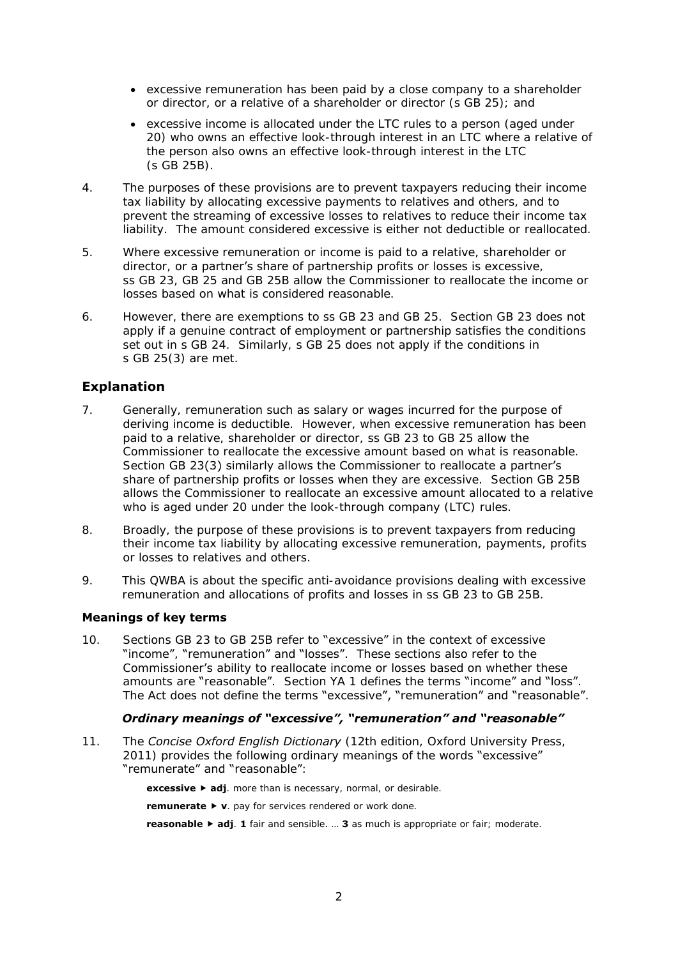- excessive remuneration has been paid by a close company to a shareholder or director, or a relative of a shareholder or director (s GB 25); and
- excessive income is allocated under the LTC rules to a person (aged under 20) who owns an effective look-through interest in an LTC where a relative of the person also owns an effective look-through interest in the LTC (s GB 25B).
- 4. The purposes of these provisions are to prevent taxpayers reducing their income tax liability by allocating excessive payments to relatives and others, and to prevent the streaming of excessive losses to relatives to reduce their income tax liability. The amount considered excessive is either not deductible or reallocated.
- 5. Where excessive remuneration or income is paid to a relative, shareholder or director, or a partner's share of partnership profits or losses is excessive, ss GB 23, GB 25 and GB 25B allow the Commissioner to reallocate the income or losses based on what is considered reasonable.
- 6. However, there are exemptions to ss GB 23 and GB 25. Section GB 23 does not apply if a genuine contract of employment or partnership satisfies the conditions set out in s GB 24. Similarly, s GB 25 does not apply if the conditions in s GB 25(3) are met.

# **Explanation**

- 7. Generally, remuneration such as salary or wages incurred for the purpose of deriving income is deductible. However, when excessive remuneration has been paid to a relative, shareholder or director, ss GB 23 to GB 25 allow the Commissioner to reallocate the excessive amount based on what is reasonable. Section GB 23(3) similarly allows the Commissioner to reallocate a partner's share of partnership profits or losses when they are excessive. Section GB 25B allows the Commissioner to reallocate an excessive amount allocated to a relative who is aged under 20 under the look-through company (LTC) rules.
- 8. Broadly, the purpose of these provisions is to prevent taxpayers from reducing their income tax liability by allocating excessive remuneration, payments, profits or losses to relatives and others.
- 9. This QWBA is about the specific anti-avoidance provisions dealing with excessive remuneration and allocations of profits and losses in ss GB 23 to GB 25B.

#### **Meanings of key terms**

10. Sections GB 23 to GB 25B refer to "excessive" in the context of excessive "income", "remuneration" and "losses". These sections also refer to the Commissioner's ability to reallocate income or losses based on whether these amounts are "reasonable". Section YA 1 defines the terms "income" and "loss". The Act does not define the terms "excessive", "remuneration" and "reasonable".

#### *Ordinary meanings of "excessive", "remuneration" and "reasonable"*

11. The *Concise Oxford English Dictionary* (12th edition, Oxford University Press, 2011) provides the following ordinary meanings of the words "excessive" "remunerate" and "reasonable":

**excessive ▶ adj**. more than is necessary, normal, or desirable.

**remunerate v**. pay for services rendered or work done.

**reasonable ► adj. 1** fair and sensible. ... **3** as much is appropriate or fair; moderate.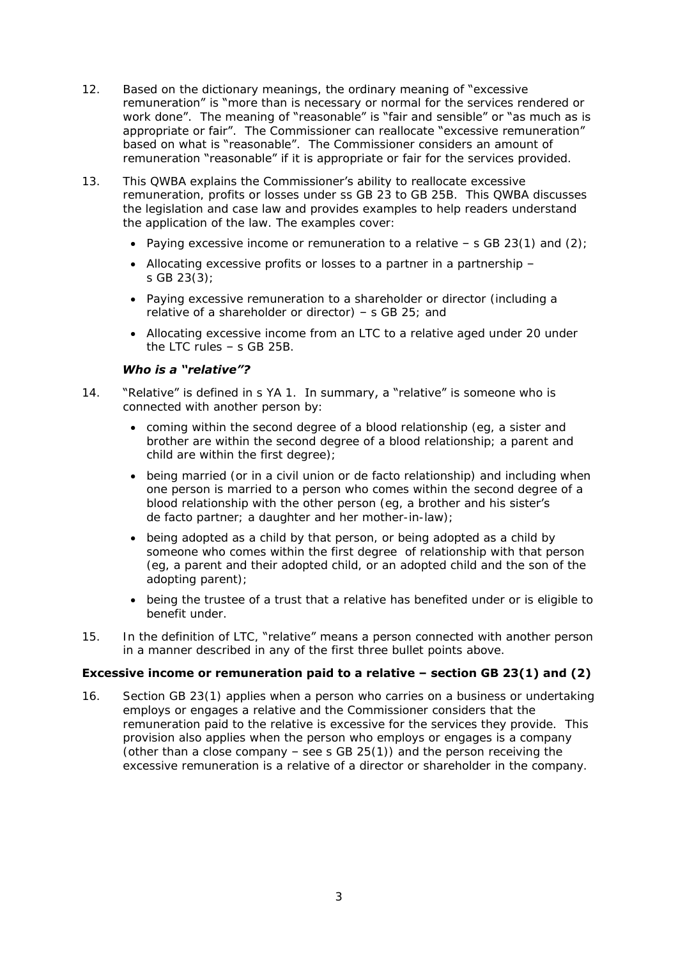- 12. Based on the dictionary meanings, the ordinary meaning of "excessive" remuneration" is "more than is necessary or normal for the services rendered or work done". The meaning of "reasonable" is "fair and sensible" or "as much as is appropriate or fair". The Commissioner can reallocate "excessive remuneration" based on what is "reasonable". The Commissioner considers an amount of remuneration "reasonable" if it is appropriate or fair for the services provided.
- 13. This QWBA explains the Commissioner's ability to reallocate excessive remuneration, profits or losses under ss GB 23 to GB 25B. This QWBA discusses the legislation and case law and provides examples to help readers understand the application of the law. The examples cover:
	- Paying excessive income or remuneration to a relative  $-$  s GB 23(1) and (2);
	- Allocating excessive profits or losses to a partner in a partnership s GB 23(3);
	- Paying excessive remuneration to a shareholder or director (including a relative of a shareholder or director) – s GB 25; and
	- Allocating excessive income from an LTC to a relative aged under 20 under the LTC rules – s GB 25B.

### *Who is a "relative"?*

- 14. "Relative" is defined in s YA 1. In summary, a "relative" is someone who is connected with another person by:
	- coming within the second degree of a blood relationship (eg, a sister and brother are within the second degree of a blood relationship; a parent and child are within the first degree);
	- being married (or in a civil union or de facto relationship) and including when one person is married to a person who comes within the second degree of a blood relationship with the other person (eg, a brother and his sister's de facto partner; a daughter and her mother-in-law);
	- being adopted as a child by that person, or being adopted as a child by someone who comes within the first degree of relationship with that person (eg, a parent and their adopted child, or an adopted child and the son of the adopting parent);
	- being the trustee of a trust that a relative has benefited under or is eligible to benefit under.
- 15. In the definition of LTC, "relative" means a person connected with another person in a manner described in any of the first three bullet points above.

# **Excessive income or remuneration paid to a relative – section GB 23(1) and (2)**

16. Section GB 23(1) applies when a person who carries on a business or undertaking employs or engages a relative and the Commissioner considers that the remuneration paid to the relative is excessive for the services they provide. This provision also applies when the person who employs or engages is a company (other than a close company  $-$  see s GB 25(1)) and the person receiving the excessive remuneration is a relative of a director or shareholder in the company.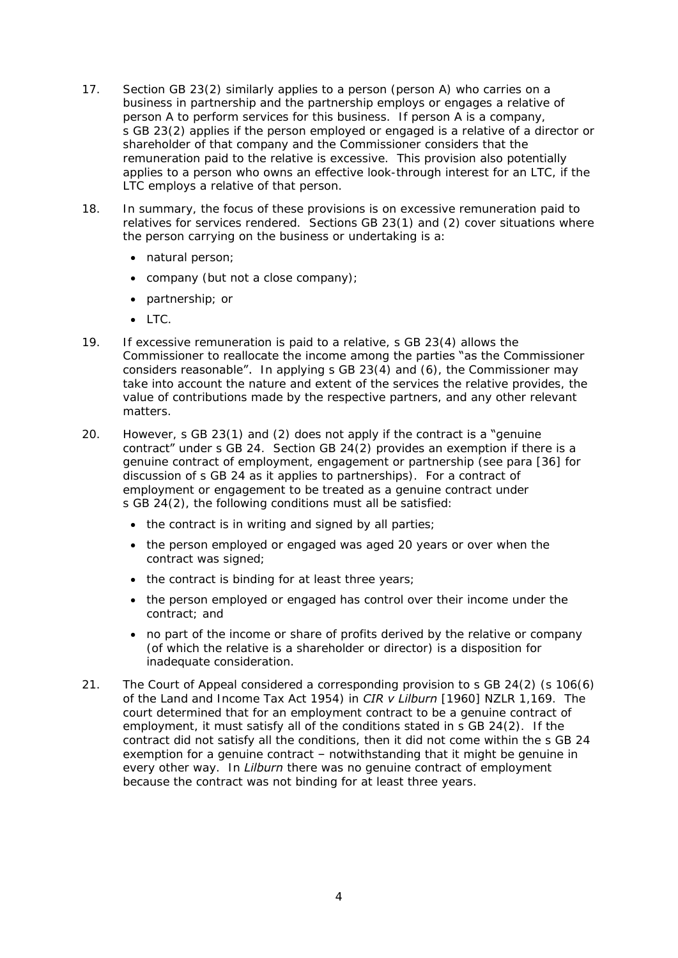- 17. Section GB 23(2) similarly applies to a person (person A) who carries on a business in partnership and the partnership employs or engages a relative of person A to perform services for this business. If person A is a company, s GB 23(2) applies if the person employed or engaged is a relative of a director or shareholder of that company and the Commissioner considers that the remuneration paid to the relative is excessive. This provision also potentially applies to a person who owns an effective look-through interest for an LTC, if the LTC employs a relative of that person.
- 18. In summary, the focus of these provisions is on excessive remuneration paid to relatives for services rendered. Sections GB 23(1) and (2) cover situations where the person carrying on the business or undertaking is a:
	- natural person;
	- company (but not a close company);
	- partnership; or
	- $\bullet$  LTC.
- 19. If excessive remuneration is paid to a relative, s GB 23(4) allows the Commissioner to reallocate the income among the parties "as the Commissioner considers reasonable". In applying s GB 23(4) and (6), the Commissioner may take into account the nature and extent of the services the relative provides, the value of contributions made by the respective partners, and any other relevant matters.
- <span id="page-3-0"></span>20. However, s GB 23(1) and (2) does not apply if the contract is a "genuine" contract" under s GB 24. Section GB 24(2) provides an exemption if there is a genuine contract of employment, engagement or partnership (see para [\[36\]](#page-6-0) for discussion of s GB 24 as it applies to partnerships). For a contract of employment or engagement to be treated as a genuine contract under s GB 24(2), the following conditions must all be satisfied:
	- the contract is in writing and signed by all parties;
	- the person employed or engaged was aged 20 years or over when the contract was signed;
	- the contract is binding for at least three years;
	- the person employed or engaged has control over their income under the contract; and
	- no part of the income or share of profits derived by the relative or company (of which the relative is a shareholder or director) is a disposition for inadequate consideration.
- 21. The Court of Appeal considered a corresponding provision to s GB 24(2) (s 106(6) of the Land and Income Tax Act 1954) in *CIR v Lilburn* [1960] NZLR 1,169. The court determined that for an employment contract to be a genuine contract of employment, it must satisfy all of the conditions stated in s GB 24(2). If the contract did not satisfy all the conditions, then it did not come within the s GB 24 exemption for a genuine contract – notwithstanding that it might be genuine in every other way. In *Lilburn* there was no genuine contract of employment because the contract was not binding for at least three years.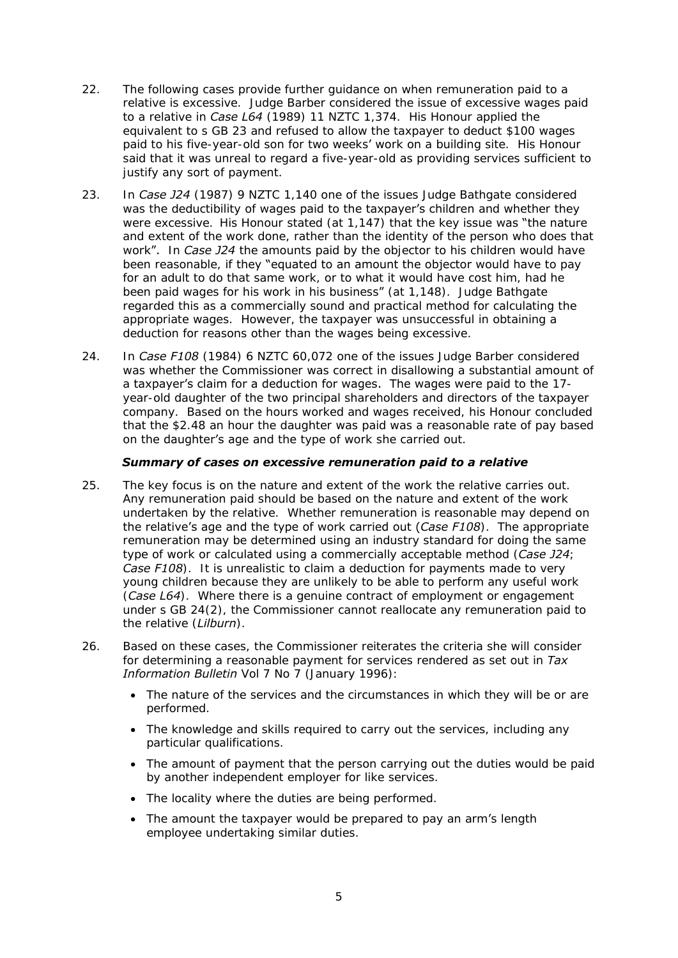- 22. The following cases provide further guidance on when remuneration paid to a relative is excessive. Judge Barber considered the issue of excessive wages paid to a relative in *Case L64* (1989) 11 NZTC 1,374. His Honour applied the equivalent to s GB 23 and refused to allow the taxpayer to deduct \$100 wages paid to his five-year-old son for two weeks' work on a building site. His Honour said that it was unreal to regard a five-year-old as providing services sufficient to justify any sort of payment.
- 23. In *Case J24* (1987) 9 NZTC 1,140 one of the issues Judge Bathgate considered was the deductibility of wages paid to the taxpayer's children and whether they were excessive.His Honour stated (at 1,147) that the key issue was "the nature and extent of the work done, rather than the identity of the person who does that work". In *Case J24* the amounts paid by the objector to his children would have been reasonable, if they "equated to an amount the objector would have to pay for an adult to do that same work, or to what it would have cost him, had he been paid wages for his work in his business" (at 1,148). Judge Bathgate regarded this as a commercially sound and practical method for calculating the appropriate wages. However, the taxpayer was unsuccessful in obtaining a deduction for reasons other than the wages being excessive.
- 24. In *Case F108* (1984) 6 NZTC 60,072 one of the issues Judge Barber considered was whether the Commissioner was correct in disallowing a substantial amount of a taxpayer's claim for a deduction for wages. The wages were paid to the 17 year-old daughter of the two principal shareholders and directors of the taxpayer company. Based on the hours worked and wages received, his Honour concluded that the \$2.48 an hour the daughter was paid was a reasonable rate of pay based on the daughter's age and the type of work she carried out.

### *Summary of cases on excessive remuneration paid to a relative*

- 25. The key focus is on the nature and extent of the work the relative carries out. Any remuneration paid should be based on the nature and extent of the work undertaken by the relative. Whether remuneration is reasonable may depend on the relative's age and the type of work carried out (*Case F108*). The appropriate remuneration may be determined using an industry standard for doing the same type of work or calculated using a commercially acceptable method (*Case J24*; *Case F108*). It is unrealistic to claim a deduction for payments made to very young children because they are unlikely to be able to perform any useful work (*Case L64*). Where there is a genuine contract of employment or engagement under s GB 24(2), the Commissioner cannot reallocate any remuneration paid to the relative (*Lilburn*).
- 26. Based on these cases, the Commissioner reiterates the criteria she will consider for determining a reasonable payment for services rendered as set out in *Tax Information Bulletin* Vol 7 No 7 (January 1996):
	- The nature of the services and the circumstances in which they will be or are performed.
	- The knowledge and skills required to carry out the services, including any particular qualifications.
	- The amount of payment that the person carrying out the duties would be paid by another independent employer for like services.
	- The locality where the duties are being performed.
	- The amount the taxpayer would be prepared to pay an arm's length employee undertaking similar duties.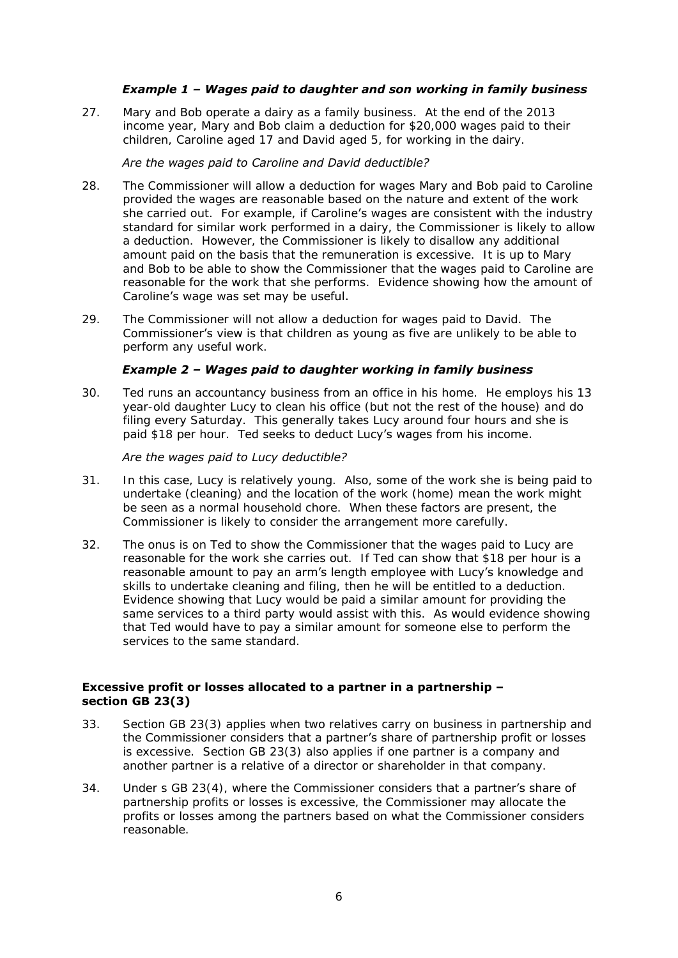# *Example 1 – Wages paid to daughter and son working in family business*

27. Mary and Bob operate a dairy as a family business. At the end of the 2013 income year, Mary and Bob claim a deduction for \$20,000 wages paid to their children, Caroline aged 17 and David aged 5, for working in the dairy.

### *Are the wages paid to Caroline and David deductible?*

- 28. The Commissioner will allow a deduction for wages Mary and Bob paid to Caroline provided the wages are reasonable based on the nature and extent of the work she carried out. For example, if **Caroline's wages** are consistent with the industry standard for similar work performed in a dairy, the Commissioner is likely to allow a deduction. However, the Commissioner is likely to disallow any additional amount paid on the basis that the remuneration is excessive. It is up to Mary and Bob to be able to show the Commissioner that the wages paid to Caroline are reasonable for the work that she performs. Evidence showing how the amount of Caroline's wage was set may be useful.
- 29. The Commissioner will not allow a deduction for wages paid to David. The Commissioner's view is that children as young as five are unlikely to be able to perform any useful work.

# *Example 2 – Wages paid to daughter working in family business*

30. Ted runs an accountancy business from an office in his home. He employs his 13 year-old daughter Lucy to clean his office (but not the rest of the house) and do filing every Saturday. This generally takes Lucy around four hours and she is paid \$18 per hour. Ted seeks to deduct Lucy's wages from his income.

### *Are the wages paid to Lucy deductible?*

- 31. In this case, Lucy is relatively young. Also, some of the work she is being paid to undertake (cleaning) and the location of the work (home) mean the work might be seen as a normal household chore. When these factors are present, the Commissioner is likely to consider the arrangement more carefully.
- 32. The onus is on Ted to show the Commissioner that the wages paid to Lucy are reasonable for the work she carries out. If Ted can show that \$18 per hour is a reasonable amount to pay an arm's length employee with Lucy's knowledge and skills to undertake cleaning and filing, then he will be entitled to a deduction. Evidence showing that Lucy would be paid a similar amount for providing the same services to a third party would assist with this. As would evidence showing that Ted would have to pay a similar amount for someone else to perform the services to the same standard.

# **Excessive profit or losses allocated to a partner in a partnership – section GB 23(3)**

- 33. Section GB 23(3) applies when two relatives carry on business in partnership and the Commissioner considers that a partner's share of partnership profit or losses is excessive. Section GB 23(3) also applies if one partner is a company and another partner is a relative of a director or shareholder in that company.
- 34. Under s GB 23(4), where the Commissioner considers that a **partner's share of** partnership profits or losses is excessive, the Commissioner may allocate the profits or losses among the partners based on what the Commissioner considers reasonable.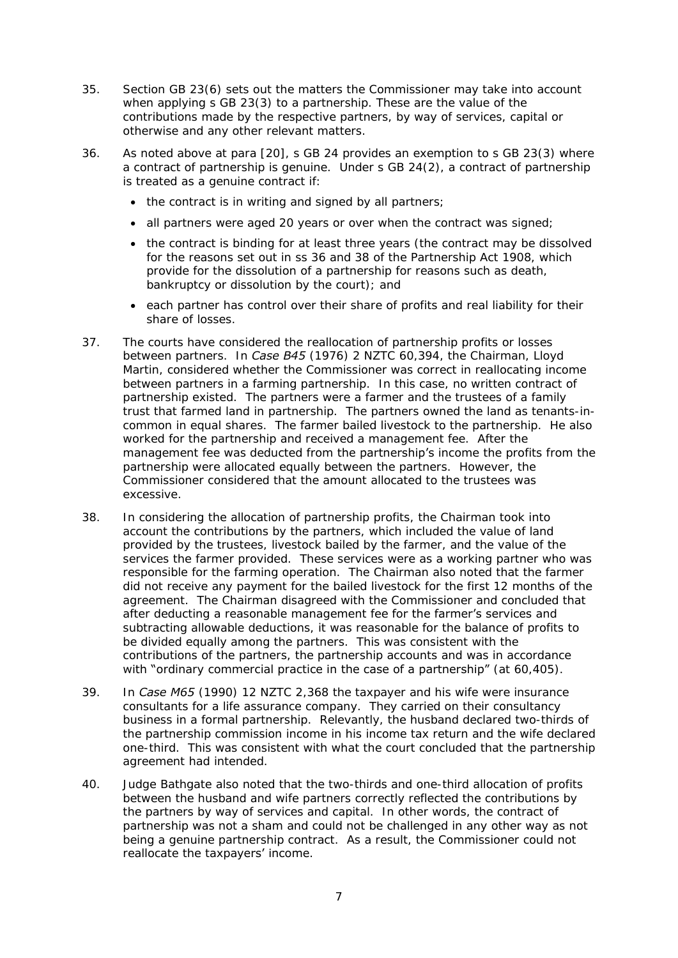- 35. Section GB 23(6) sets out the matters the Commissioner may take into account when applying s GB 23(3) to a partnership. These are the value of the contributions made by the respective partners, by way of services, capital or otherwise and any other relevant matters.
- <span id="page-6-0"></span>36. As noted above at para [\[20\]](#page-3-0), s GB 24 provides an exemption to s GB 23(3) where a contract of partnership is genuine. Under s GB 24(2), a contract of partnership is treated as a genuine contract if:
	- the contract is in writing and signed by all partners;
	- all partners were aged 20 years or over when the contract was signed;
	- the contract is binding for at least three years (the contract may be dissolved for the reasons set out in ss 36 and 38 of the Partnership Act 1908, which provide for the dissolution of a partnership for reasons such as death, bankruptcy or dissolution by the court); and
	- each partner has control over their share of profits and real liability for their share of losses.
- 37. The courts have considered the reallocation of partnership profits or losses between partners. In *Case B45* (1976) 2 NZTC 60,394, the Chairman, Lloyd Martin, considered whether the Commissioner was correct in reallocating income between partners in a farming partnership. In this case, no written contract of partnership existed. The partners were a farmer and the trustees of a family trust that farmed land in partnership. The partners owned the land as tenants-incommon in equal shares. The farmer bailed livestock to the partnership. He also worked for the partnership and received a management fee. After the management fee was deducted from the partnership's income the profits from the partnership were allocated equally between the partners. However, the Commissioner considered that the amount allocated to the trustees was excessive.
- 38. In considering the allocation of partnership profits, the Chairman took into account the contributions by the partners, which included the value of land provided by the trustees, livestock bailed by the farmer, and the value of the services the farmer provided. These services were as a working partner who was responsible for the farming operation. The Chairman also noted that the farmer did not receive any payment for the bailed livestock for the first 12 months of the agreement. The Chairman disagreed with the Commissioner and concluded that after deducting a reasonable management fee for the farmer's services and subtracting allowable deductions, it was reasonable for the balance of profits to be divided equally among the partners. This was consistent with the contributions of the partners, the partnership accounts and was in accordance with "ordinary commercial practice in the case of a partnership" (at 60,405).
- 39. In *Case M65* (1990) 12 NZTC 2,368 the taxpayer and his wife were insurance consultants for a life assurance company. They carried on their consultancy business in a formal partnership. Relevantly, the husband declared two-thirds of the partnership commission income in his income tax return and the wife declared one-third. This was consistent with what the court concluded that the partnership agreement had intended.
- 40. Judge Bathgate also noted that the two-thirds and one-third allocation of profits between the husband and wife partners correctly reflected the contributions by the partners by way of services and capital. In other words, the contract of partnership was not a sham and could not be challenged in any other way as not being a genuine partnership contract. As a result, the Commissioner could not reallocate the taxpayers' income.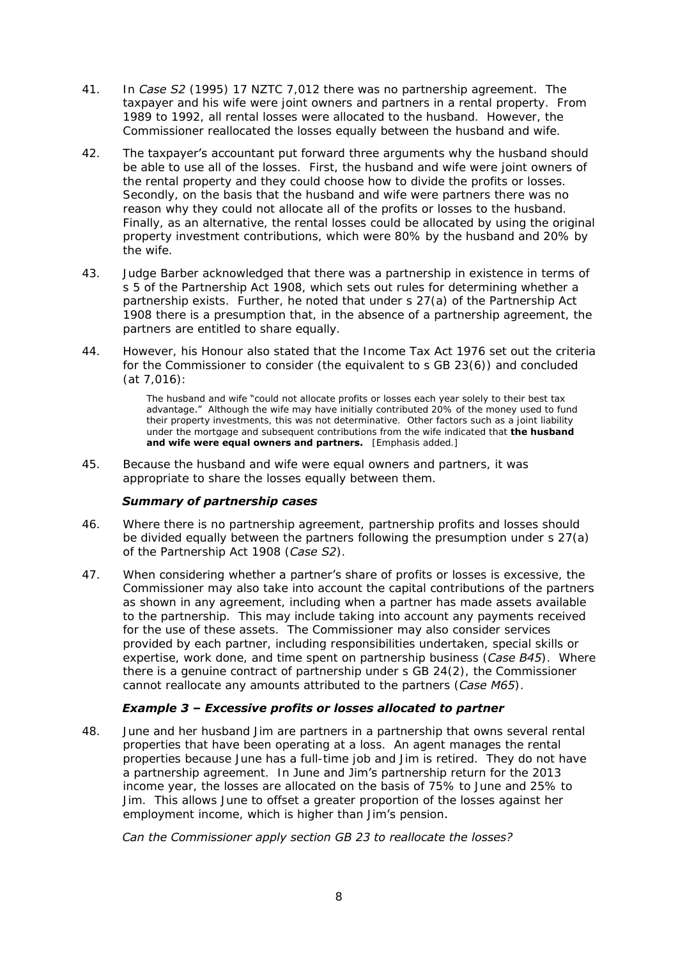- 41. In *Case S2* (1995) 17 NZTC 7,012 there was no partnership agreement. The taxpayer and his wife were joint owners and partners in a rental property. From 1989 to 1992, all rental losses were allocated to the husband. However, the Commissioner reallocated the losses equally between the husband and wife.
- 42. The taxpayer's accountant put forward three arguments why the husband should be able to use all of the losses. First, the husband and wife were joint owners of the rental property and they could choose how to divide the profits or losses. Secondly, on the basis that the husband and wife were partners there was no reason why they could not allocate all of the profits or losses to the husband. Finally, as an alternative, the rental losses could be allocated by using the original property investment contributions, which were 80% by the husband and 20% by the wife.
- 43. Judge Barber acknowledged that there was a partnership in existence in terms of s 5 of the Partnership Act 1908, which sets out rules for determining whether a partnership exists. Further, he noted that under s 27(a) of the Partnership Act 1908 there is a presumption that, in the absence of a partnership agreement, the partners are entitled to share equally.
- 44. However, his Honour also stated that the Income Tax Act 1976 set out the criteria for the Commissioner to consider (the equivalent to s GB 23(6)) and concluded (at 7,016):

The husband and wife "could not allocate profits or losses each year solely to their best tax advantage." Although the wife may have initially contributed 20% of the money used to fund their property investments, this was not determinative. Other factors such as a joint liability under the mortgage and subsequent contributions from the wife indicated that **the husband**  and wife were equal owners and partners. [Emphasis added.]

45. Because the husband and wife were equal owners and partners, it was appropriate to share the losses equally between them.

# *Summary of partnership cases*

- 46. Where there is no partnership agreement, partnership profits and losses should be divided equally between the partners following the presumption under s 27(a) of the Partnership Act 1908 (*Case S2*).
- 47. When considering whether a partner's share of profits or losses is excessive, the Commissioner may also take into account the capital contributions of the partners as shown in any agreement, including when a partner has made assets available to the partnership. This may include taking into account any payments received for the use of these assets. The Commissioner may also consider services provided by each partner, including responsibilities undertaken, special skills or expertise, work done, and time spent on partnership business (*Case B45*). Where there is a genuine contract of partnership under s GB 24(2), the Commissioner cannot reallocate any amounts attributed to the partners (*Case M65*).

# *Example 3 – Excessive profits or losses allocated to partner*

48. June and her husband Jim are partners in a partnership that owns several rental properties that have been operating at a loss. An agent manages the rental properties because June has a full-time job and Jim is retired. They do not have a partnership agreement. In June and Jim's partnership return for the 2013 income year, the losses are allocated on the basis of 75% to June and 25% to Jim. This allows June to offset a greater proportion of the losses against her employment income, which is higher than Jim's pension.

#### *Can the Commissioner apply section GB 23 to reallocate the losses?*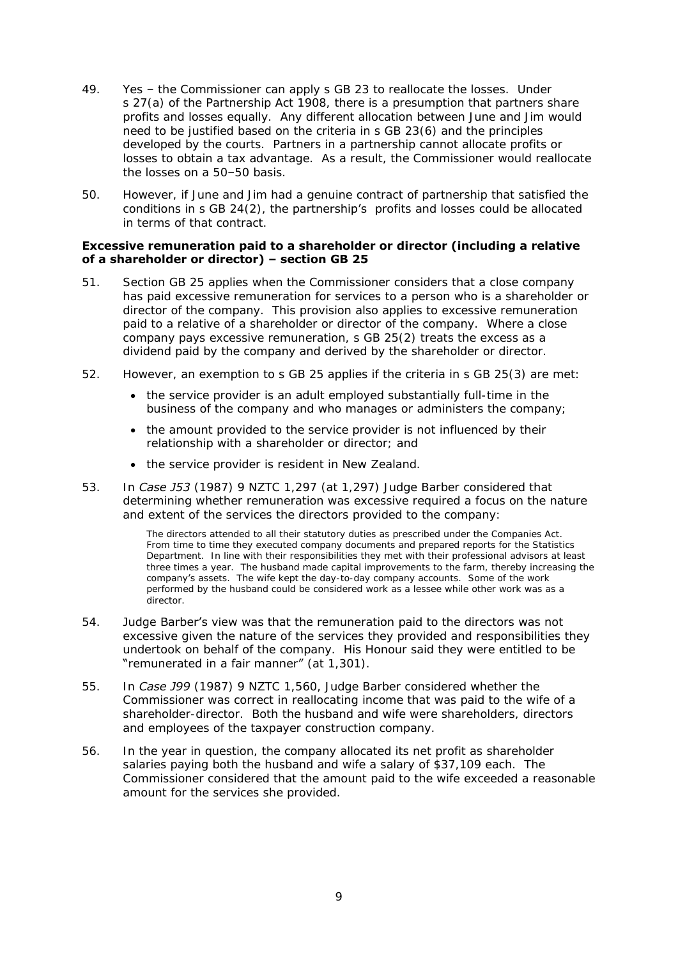- 49. Yes the Commissioner can apply s GB 23 to reallocate the losses. Under s 27(a) of the Partnership Act 1908, there is a presumption that partners share profits and losses equally. Any different allocation between June and Jim would need to be justified based on the criteria in s GB 23(6) and the principles developed by the courts. Partners in a partnership cannot allocate profits or losses to obtain a tax advantage. As a result, the Commissioner would reallocate the losses on a 50–50 basis.
- 50. However, if June and Jim had a genuine contract of partnership that satisfied the conditions in  $S$  GB 24(2), the **partnership's** profits and losses could be allocated in terms of that contract.

#### **Excessive remuneration paid to a shareholder or director (including a relative of a shareholder or director) – section GB 25**

- 51. Section GB 25 applies when the Commissioner considers that a close company has paid excessive remuneration for services to a person who is a shareholder or director of the company. This provision also applies to excessive remuneration paid to a relative of a shareholder or director of the company. Where a close company pays excessive remuneration, s GB 25(2) treats the excess as a dividend paid by the company and derived by the shareholder or director.
- 52. However, an exemption to s GB 25 applies if the criteria in s GB 25(3) are met:
	- the service provider is an adult employed substantially full-time in the business of the company and who manages or administers the company;
	- the amount provided to the service provider is not influenced by their relationship with a shareholder or director; and
	- the service provider is resident in New Zealand.
- 53. In *Case J53* (1987) 9 NZTC 1,297 (at 1,297) Judge Barber considered that determining whether remuneration was excessive required a focus on the nature and extent of the services the directors provided to the company:

The directors attended to all their statutory duties as prescribed under the Companies Act. From time to time they executed company documents and prepared reports for the Statistics Department. In line with their responsibilities they met with their professional advisors at least three times a year. The husband made capital improvements to the farm, thereby increasing the company's assets. The wife kept the day-to-day company accounts. Some of the work performed by the husband could be considered work as a lessee while other work was as a director.

- 54. Judge Barber's view was that the remuneration paid to the directors was not excessive given the nature of the services they provided and responsibilities they undertook on behalf of the company. His Honour said they were entitled to be "remunerated in a fair manner" (at 1,301).
- 55. In *Case J99* (1987) 9 NZTC 1,560, Judge Barber considered whether the Commissioner was correct in reallocating income that was paid to the wife of a shareholder-director. Both the husband and wife were shareholders, directors and employees of the taxpayer construction company.
- 56. In the year in question, the company allocated its net profit as shareholder salaries paying both the husband and wife a salary of \$37,109 each. The Commissioner considered that the amount paid to the wife exceeded a reasonable amount for the services she provided.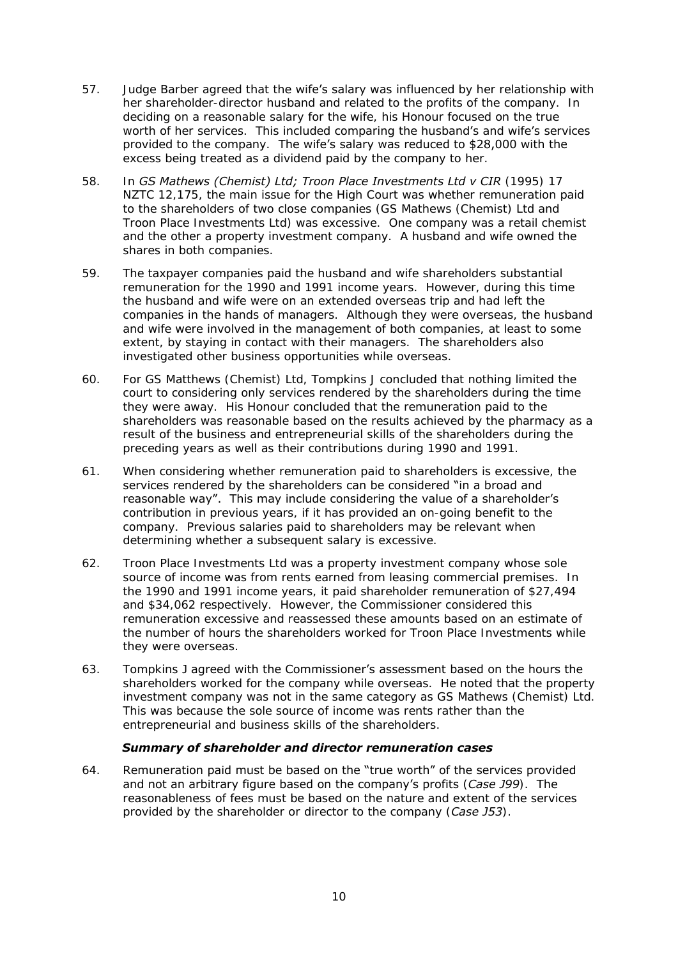- 57. Judge Barber agreed that the wife's salary was influenced by her relationship with her shareholder-director husband and related to the profits of the company. In deciding on a reasonable salary for the wife, his Honour focused on the true worth of her services. This included comparing the husband's and wife's services provided to the company. The wife's salary was reduced to \$28,000 with the excess being treated as a dividend paid by the company to her.
- 58. In *GS Mathews (Chemist) Ltd; Troon Place Investments Ltd v CIR* (1995) 17 NZTC 12,175, the main issue for the High Court was whether remuneration paid to the shareholders of two close companies (GS Mathews (Chemist) Ltd and Troon Place Investments Ltd) was excessive. One company was a retail chemist and the other a property investment company. A husband and wife owned the shares in both companies.
- 59. The taxpayer companies paid the husband and wife shareholders substantial remuneration for the 1990 and 1991 income years. However, during this time the husband and wife were on an extended overseas trip and had left the companies in the hands of managers. Although they were overseas, the husband and wife were involved in the management of both companies, at least to some extent, by staying in contact with their managers. The shareholders also investigated other business opportunities while overseas.
- 60. For GS Matthews (Chemist) Ltd, Tompkins J concluded that nothing limited the court to considering only services rendered by the shareholders during the time they were away. His Honour concluded that the remuneration paid to the shareholders was reasonable based on the results achieved by the pharmacy as a result of the business and entrepreneurial skills of the shareholders during the preceding years as well as their contributions during 1990 and 1991.
- 61. When considering whether remuneration paid to shareholders is excessive, the services rendered by the shareholders can be considered "in a broad and reasonable way". This may include considering the value of a shareholder's contribution in previous years, if it has provided an on-going benefit to the company. Previous salaries paid to shareholders may be relevant when determining whether a subsequent salary is excessive.
- 62. Troon Place Investments Ltd was a property investment company whose sole source of income was from rents earned from leasing commercial premises. In the 1990 and 1991 income years, it paid shareholder remuneration of \$27,494 and \$34,062 respectively. However, the Commissioner considered this remuneration excessive and reassessed these amounts based on an estimate of the number of hours the shareholders worked for Troon Place Investments while they were overseas.
- 63. Tompkins J agreed with the Commissioner's assessment based on the hours the shareholders worked for the company while overseas. He noted that the property investment company was not in the same category as GS Mathews (Chemist) Ltd. This was because the sole source of income was rents rather than the entrepreneurial and business skills of the shareholders.

#### *Summary of shareholder and director remuneration cases*

64. Remuneration paid must be based on the "true worth" of the services provided and not an arbitrary figure based on the company's profits (*Case J99*). The reasonableness of fees must be based on the nature and extent of the services provided by the shareholder or director to the company (*Case J53*).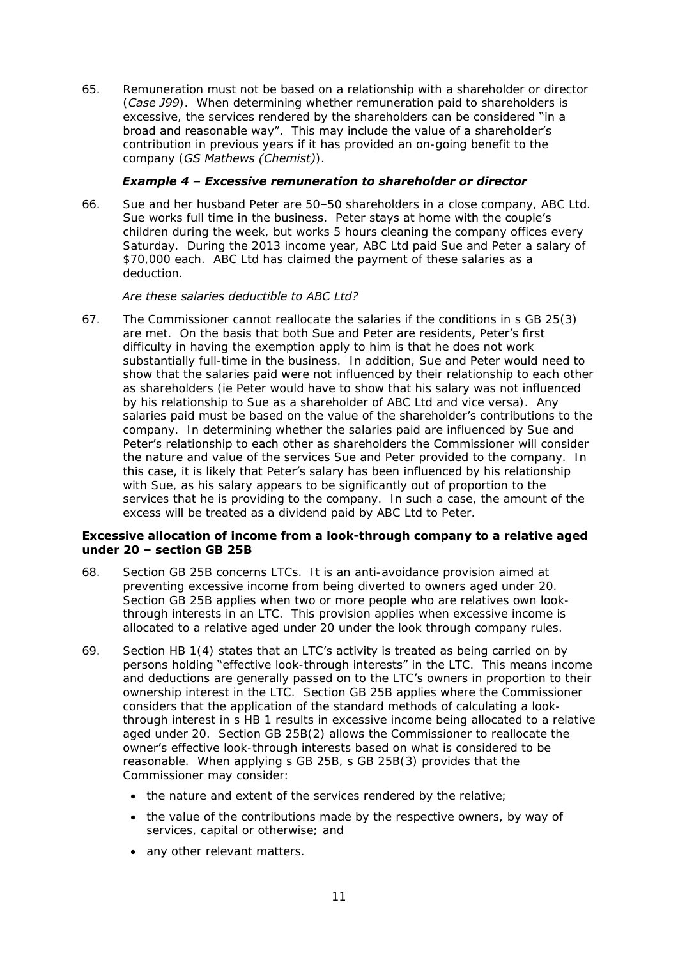65. Remuneration must not be based on a relationship with a shareholder or director (*Case J99*). When determining whether remuneration paid to shareholders is excessive, the services rendered by the shareholders can be considered "in a broad and reasonable way". This may include the value of a shareholder's contribution in previous years if it has provided an on-going benefit to the company (*GS Mathews (Chemist)*).

# *Example 4 – Excessive remuneration to shareholder or director*

66. Sue and her husband Peter are 50–50 shareholders in a close company, ABC Ltd. Sue works full time in the business. Peter stays at home with the couple's children during the week, but works 5 hours cleaning the company offices every Saturday. During the 2013 income year, ABC Ltd paid Sue and Peter a salary of \$70,000 each. ABC Ltd has claimed the payment of these salaries as a deduction.

# *Are these salaries deductible to ABC Ltd?*

67. The Commissioner cannot reallocate the salaries if the conditions in s GB 25(3) are met. On the basis that both Sue and Peter are residents, Peter's first difficulty in having the exemption apply to him is that he does not work substantially full-time in the business. In addition, Sue and Peter would need to show that the salaries paid were not influenced by their relationship to each other as shareholders (ie Peter would have to show that his salary was not influenced by his relationship to Sue as a shareholder of ABC Ltd and vice versa). Any salaries paid must be based on the value of the shareholder's contributions to the company. In determining whether the salaries paid are influenced by Sue and Peter's relationship to each other as shareholders the Commissioner will consider the nature and value of the services Sue and Peter provided to the company. In this case, it is likely that Peter's salary has been influenced by his relationship with Sue, as his salary appears to be significantly out of proportion to the services that he is providing to the company. In such a case, the amount of the excess will be treated as a dividend paid by ABC Ltd to Peter.

### **Excessive allocation of income from a look-through company to a relative aged under 20 – section GB 25B**

- 68. Section GB 25B concerns LTCs. It is an anti-avoidance provision aimed at preventing excessive income from being diverted to owners aged under 20. Section GB 25B applies when two or more people who are relatives own lookthrough interests in an LTC. This provision applies when excessive income is allocated to a relative aged under 20 under the look through company rules.
- 69. Section HB 1(4) states that an LTC's activity is treated as being carried on by persons holding "effective look-through interests" in the LTC. This means income and deductions are generally passed on to the LTC's owners in proportion to their ownership interest in the LTC. Section GB 25B applies where the Commissioner considers that the application of the standard methods of calculating a lookthrough interest in s HB 1 results in excessive income being allocated to a relative aged under 20. Section GB 25B(2) allows the Commissioner to reallocate the owner's effective look-through interests based on what is considered to be reasonable. When applying s GB 25B, s GB 25B(3) provides that the Commissioner may consider:
	- the nature and extent of the services rendered by the relative;
	- the value of the contributions made by the respective owners, by way of services, capital or otherwise; and
	- any other relevant matters.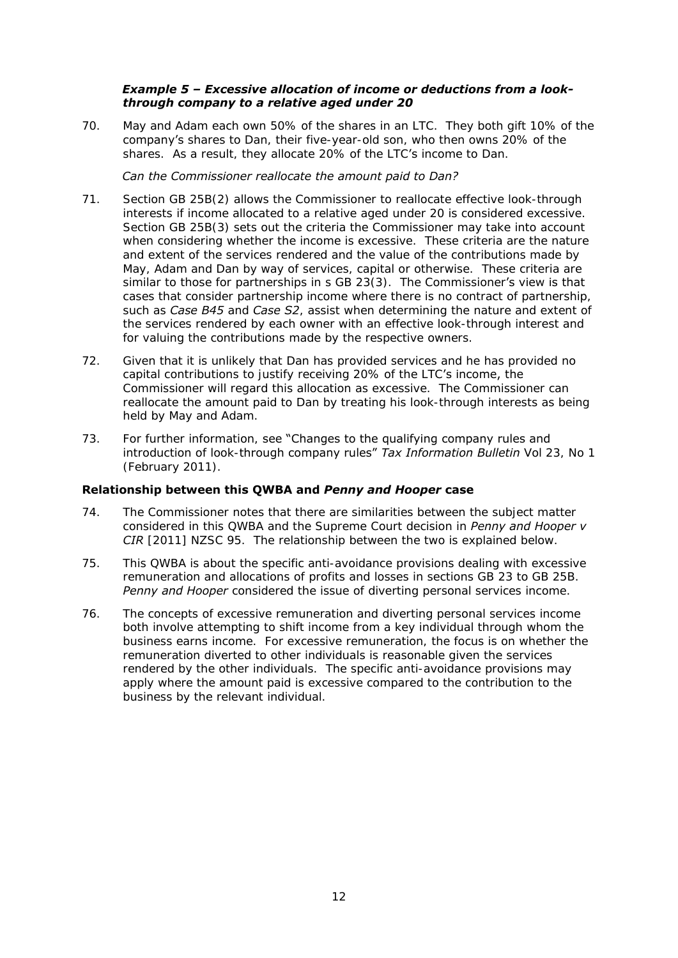### *Example 5 – Excessive allocation of income or deductions from a lookthrough company to a relative aged under 20*

70. May and Adam each own 50% of the shares in an LTC. They both gift 10% of the company's shares to Dan, their five-year-old son, who then owns 20% of the shares. As a result, they allocate 20% of the LTC's income to Dan.

### *Can the Commissioner reallocate the amount paid to Dan?*

- 71. Section GB 25B(2) allows the Commissioner to reallocate effective look-through interests if income allocated to a relative aged under 20 is considered excessive. Section GB 25B(3) sets out the criteria the Commissioner may take into account when considering whether the income is excessive. These criteria are the nature and extent of the services rendered and the value of the contributions made by May, Adam and Dan by way of services, capital or otherwise. These criteria are similar to those for partnerships in s GB 23(3). The Commissioner's view is that cases that consider partnership income where there is no contract of partnership, such as *Case B45* and *Case S2*, assist when determining the nature and extent of the services rendered by each owner with an effective look-through interest and for valuing the contributions made by the respective owners.
- 72. Given that it is unlikely that Dan has provided services and he has provided no capital contributions to justify receiving 20% of the LTC's income, the Commissioner will regard this allocation as excessive. The Commissioner can reallocate the amount paid to Dan by treating his look-through interests as being held by May and Adam.
- 73. For further information, see "Changes to the qualifying company rules and introduction of look-through company rules" *Tax Information Bulletin* Vol 23, No 1 (February 2011).

# **Relationship between this QWBA and** *Penny and Hooper* **case**

- 74. The Commissioner notes that there are similarities between the subject matter considered in this QWBA and the Supreme Court decision in *Penny and Hooper v CIR* [2011] NZSC 95. The relationship between the two is explained below.
- 75. This QWBA is about the specific anti-avoidance provisions dealing with excessive remuneration and allocations of profits and losses in sections GB 23 to GB 25B. *Penny and Hooper* considered the issue of diverting personal services income.
- 76. The concepts of excessive remuneration and diverting personal services income both involve attempting to shift income from a key individual through whom the business earns income. For excessive remuneration, the focus is on whether the remuneration diverted to other individuals is reasonable given the services rendered by the other individuals. The specific anti-avoidance provisions may apply where the amount paid is excessive compared to the contribution to the business by the relevant individual.